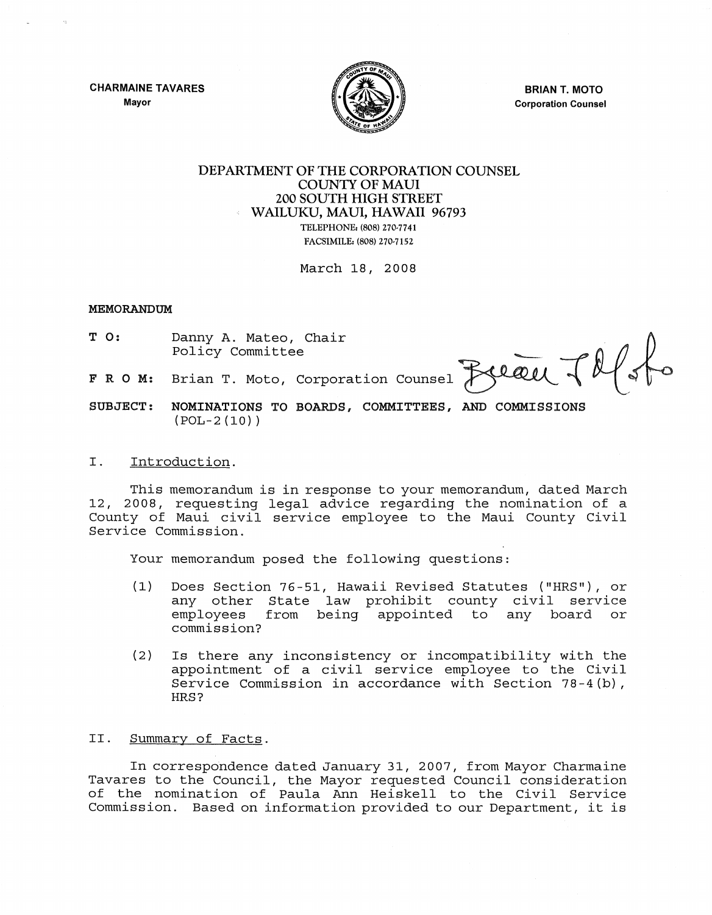CHARMAINE TAVARES Mayor



BRIAN T. MOTO Corporation Counsel

## DEPARTMENT OF THE CORPORATION COUNSEL COUNTY OF MAUl 200 SOUTH HIGH STREET WAILUKU, MAUl, HAWAII 96793 TELEPHONE: (808) 270-7741 FACSIMILE: (808) 270-7152

March 18, 2008

#### MEMORANDUM

T 0: Danny A. Mateo, Chair Policy Committee

Breau Jdl.

FRO M: Brian T. Moto, Corporation Counsel

SUBJECT: NOMINATIONS TO BOARDS, COMMITTEES, AND COMMISSIONS (POL-2(10))

### I. Introduction.

This memorandum is in response to your memorandum, dated March 12, 2008, requesting legal advice regarding the nomination of a County of Maui civil service employee to the Maui County Civil Service Commission.

Your memorandum posed the following questions:

- (I) Does Section 76-51, Hawaii Revised Statutes ("HRS"), or any other State law prohibit county civil service employees from being appointed to any board or commission?
- (2) Is there any inconsistency or incompatibility with the appointment of <sup>a</sup> civil service employee to the Civil Service Commission in accordance with Section 78-4{b), HRS?

## II. Summary of Facts.

In correspondence dated January 31, 2007, from Mayor Charmaine Tavares to the Council, the Mayor requested Council consideration of the nomination of Paula Ann Heiskell to the Civil Service Commission. Based on information provided to our Department, it is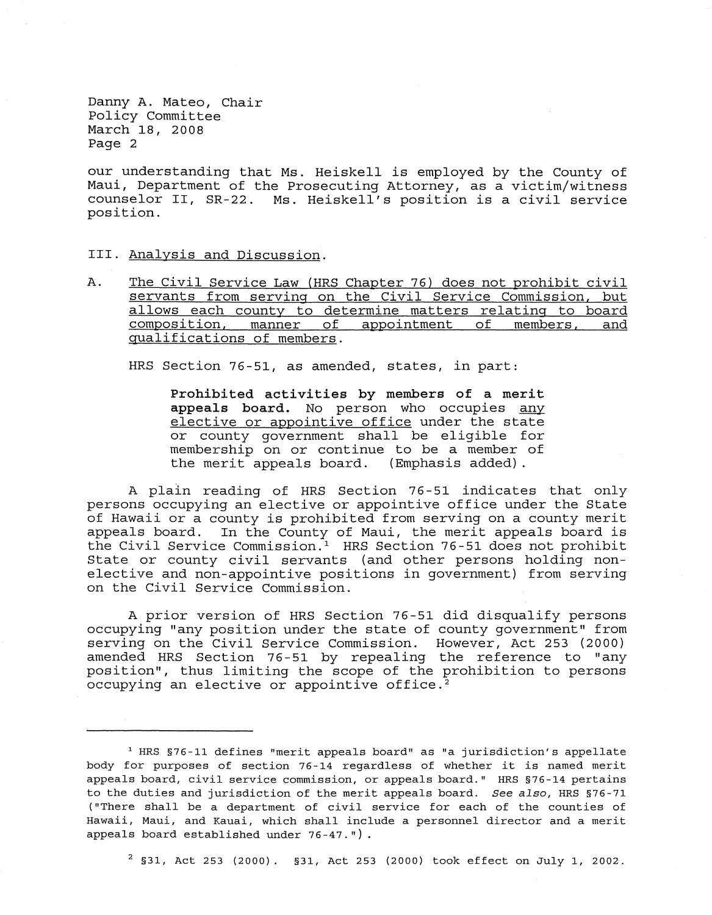our understanding that Ms. Heiskell is employed by the County of Maui, Department of the Prosecuting Attorney, as a victim/witness counselor II, SR-22. Ms. Heiskell's position is <sup>a</sup> civil service position.

- III. Analysis and Discussion.
- A. The Civil Service Law (HRS Chapter 76) does not prohibit civil servants from serving on the Civil Service Commission, but allows each county to determine matters relating to board composition, manner of appointment of members, and qualifications of members.

HRS Section 76-51, as amended, states, in part:

Prohibited activities by members of <sup>a</sup> merit appeals board. No person who occupies <u>any</u> elective or appointive office under the state or county government shall be eligible for membership on or continue to be a member of<br>the merit appeals board. (Emphasis added). the merit appeals board.

A plain reading of HRS Section 76-51 indicates that only persons occupying an elective or appointive office under the State of Hawaii or a county is prohibited from serving on a county merit<br>appeals board. In the County of Maui, the merit appeals board is In the County of Maui, the merit appeals board is the Civil Service Commission.<sup>1</sup> HRS Section 76-51 does not prohibit State or county civil servants (and other persons holding nonelective and non-appointive positions in government) from serving on the Civil Service Commission.

A prior version of HRS Section 76-51 did disqualify persons occupying "any position under the state of county government" from serving on the Civil Service Commission. However, Act 253 (2000) amended HRS Section 76-51 by repealing the reference to "any position", thus limiting the scope of the prohibition to persons occupying an elective or appointive office. <sup>2</sup>

 $2$  §31, Act 253 (2000). §31, Act 253 (2000) took effect on July 1, 2002.

 $1$  HRS §76-11 defines "merit appeals board" as "a jurisdiction's appellate body for purposes of section 76-14 regardless of whether it is named merit appeals board, civil service commission, or appeals board." HRS §76-14 pertains to the duties and jurisdiction of the merit appeals board. *See also,* HRS §76-71 ("There shall be <sup>a</sup> department of civil service for each of the counties of Hawaii, Maui, and Kauai, which shall include a personnel director and a merit appeals board established under 76-47.") .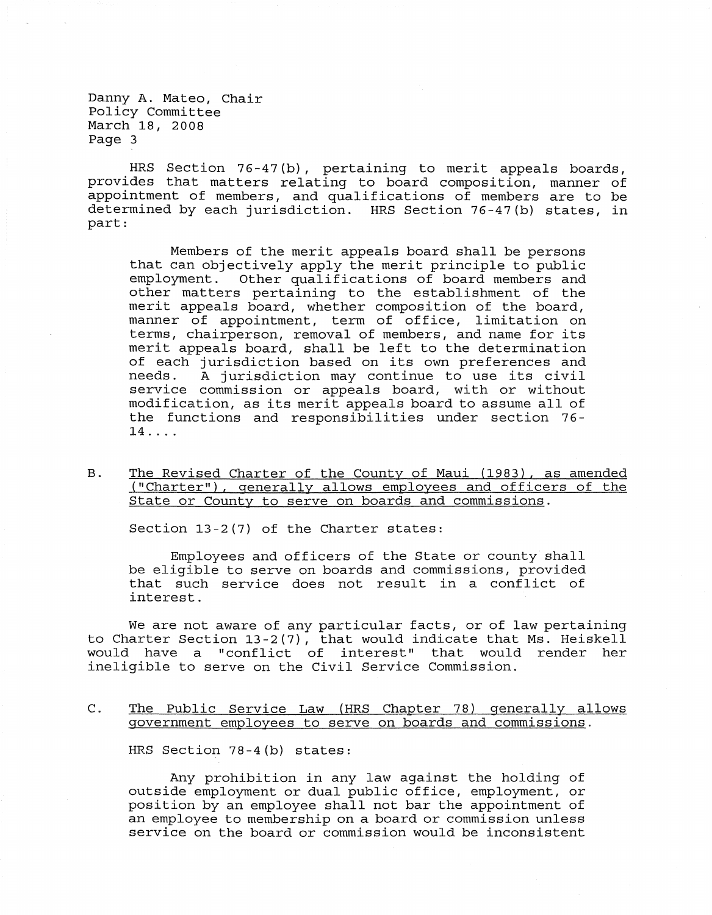HRS Section 76-47 (b), pertaining to merit appeals boards, provides that matters relating to board composition, manner of appointment of members, and qualifications of members are to be determined by each jurisdiction. HRS Section 76-47(b) states, in part:

Members of the merit appeals board shall be persons that can objectively apply the merit principle to public employment. Other qualifications of board members and other matters pertaining to the establishment of the merit appeals board, whether composition of the board, manner of appointment, term of office, limitation on terms, chairperson, removal of members, and name for its merit appeals board, shall be left to the determination of each jurisdiction based on its own preferences and A jurisdiction may continue to use its civil service commission or appeals board, with or without modification, as its merit appeals board to assume all of the functions and responsibilities under section 76- <sup>14</sup> ....

B. The Revised Charter of the County of Maui (1983), as amended ("Charter"), generally allows employees and officers of the State or County to serve on boards and commissions.

Section 13-2(7) of the Charter states:

Employees and officers of the State or county shall be eligible to serve on boards and commissions, provided that such service does not result in <sup>a</sup> conflict of interest ..

We are not aware of any particular facts, or of law pertaining to Charter Section 13-2(7), that would indicate that Ms. Heiskell would have <sup>a</sup> "conflict of interest" that would render her ineligible to serve on the Civil Service Commission.

c. The Public Service Law (HRS Chapter 78) generally allows government employees to serve on boards and commissions.

HRS Section  $78-4$  (b) states:

Any prohibition in any law against the holding of outside employment or dual public office, employment, or position by an employee shall not bar the appointment of an employee to membership on a board or commission unless service on the board or commission would be inconsistent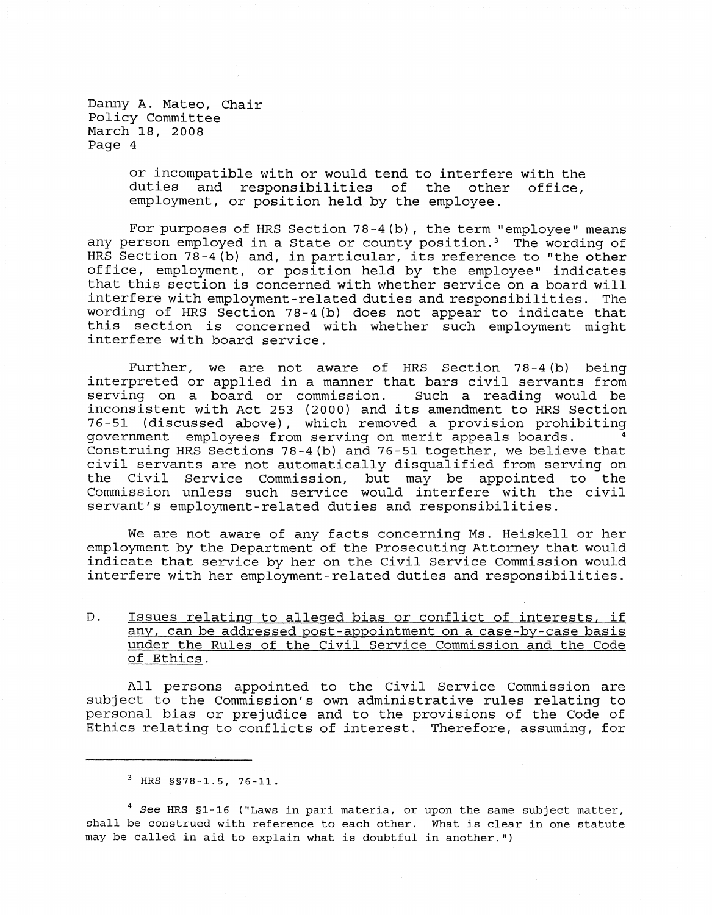> or incompatible with or would tend to interfere with the duties and responsibilities of the other office, employment, or position held by the employee.

For purposes of HRS Section 78-4 (b), the term "employee" means any person employed in a State or county position.<sup>3</sup> The wording of any person emproyed in a state of county position. The wording of<br>HRS Section 78-4 (b) and, in particular, its reference to "the **other** office, employment, or position held by the employee" indicates that this section is concerned with whether service on <sup>a</sup> board will interfere with employment-related duties and responsibilities. The wording of HRS Section 78-4(b) does not appear to indicate that this section is concerned with whether such employment might interfere with board service.

Further, we are not aware of HRS Section 78-4 (b) being interpreted or applied in <sup>a</sup> manner that bars civil servants from serving on a board or commission. inconsistent with Act <sup>253</sup> (2000) and its amendment to HRS Section 76-51 (discussed above), which removed a provision prohibiting government employees from serving on merit appeals boards. <sup>4</sup> Construing HRS Sections 78-4(b) and 76-51 together, we believe that civil servants are not automatically disqualified from serving on the Civil Service Commission, but may be appointed to the Commission unless such service would interfere with the civil servant's employment-related duties and responsibilities.

We are not aware of any facts concerning Ms. Heiskell or her employment by the Department of the Prosecuting Attorney that would indicate that service by her on the Civil Service Commission would interfere with her employment-related duties and responsibilities.

# D. Issues relating to alleged bias or conflict of interests, if any, can be addressed post-appointment on a case-by-case basis under the Rules of the Civil Service Commission and the Code of Ethics.

All persons appointed to the Civil Service Commission are subject to the Commission's own administrative rules relating to personal bias or prejudice and to the provisions of the Code of Ethics relating to conflicts of interest. Therefore, assuming, for

<sup>4</sup> *See* HRS §1-16 ("Laws in pari materia, or upon the same subject matter, shall be construed with reference to each other. What is clear in one statute may be called in aid to explain what is doubtful in another.")

<sup>3</sup> HRS §§78-1.5, 76-11.